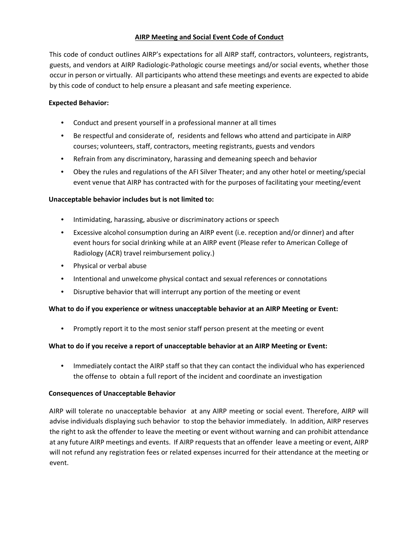## **AIRP Meeting and Social Event Code of Conduct**

This code of conduct outlines AIRP's expectations for all AIRP staff, contractors, volunteers, registrants, guests, and vendors at AIRP Radiologic-Pathologic course meetings and/or social events, whether those occur in person or virtually. All participants who attend these meetings and events are expected to abide by this code of conduct to help ensure a pleasant and safe meeting experience.

#### **Expected Behavior:**

- Conduct and present yourself in a professional manner at all times
- Be respectful and considerate of, residents and fellows who attend and participate in AIRP courses; volunteers, staff, contractors, meeting registrants, guests and vendors
- Refrain from any discriminatory, harassing and demeaning speech and behavior
- Obey the rules and regulations of the AFI Silver Theater; and any other hotel or meeting/special event venue that AIRP has contracted with for the purposes of facilitating your meeting/event

## **Unacceptable behavior includes but is not limited to:**

- Intimidating, harassing, abusive or discriminatory actions or speech
- Excessive alcohol consumption during an AIRP event (i.e. reception and/or dinner) and after event hours for social drinking while at an AIRP event (Please refer to American College of Radiology (ACR) travel reimbursement policy.)
- Physical or verbal abuse
- Intentional and unwelcome physical contact and sexual references or connotations
- Disruptive behavior that will interrupt any portion of the meeting or event

#### **What to do if you experience or witness unacceptable behavior at an AIRP Meeting or Event:**

• Promptly report it to the most senior staff person present at the meeting or event

#### **What to do if you receive a report of unacceptable behavior at an AIRP Meeting or Event:**

• Immediately contact the AIRP staff so that they can contact the individual who has experienced the offense to obtain a full report of the incident and coordinate an investigation

#### **Consequences of Unacceptable Behavior**

AIRP will tolerate no unacceptable behavior at any AIRP meeting or social event. Therefore, AIRP will advise individuals displaying such behavior to stop the behavior immediately. In addition, AIRP reserves the right to ask the offender to leave the meeting or event without warning and can prohibit attendance at any future AIRP meetings and events. If AIRP requests that an offender leave a meeting or event, AIRP will not refund any registration fees or related expenses incurred for their attendance at the meeting or event.